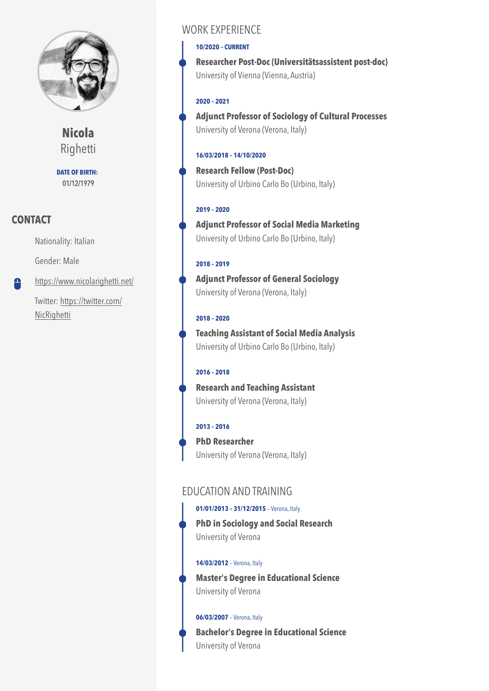

**Nicola** Righetti

**DATE OF BIRTH:** 01/12/1979

## **CONTACT**

Nationality: Italian

Gender: Male

<https://www.nicolarighetti.net/>  $\mathbf{\Omega}$ 

> Twitter: [https://twitter.com/](https://twitter.com/NicRighetti) [NicRighetti](https://twitter.com/NicRighetti)

## WORK EXPERIENCE

#### **10/2020 – CURRENT**

**Researcher Post-Doc (Universitätsassistent post-doc)**  University of Vienna (Vienna, Austria)

### **2020 – 2021**

**Adjunct Professor of Sociology of Cultural Processes**  University of Verona (Verona, Italy)

### **16/03/2018 – 14/10/2020**

**Research Fellow (Post-Doc)**  University of Urbino Carlo Bo (Urbino, Italy)

#### **2019 – 2020**

**Adjunct Professor of Social Media Marketing**  University of Urbino Carlo Bo (Urbino, Italy)

### **2018 – 2019**

**Adjunct Professor of General Sociology**  University of Verona (Verona, Italy)

### **2018 – 2020**

**Teaching Assistant of Social Media Analysis**  University of Urbino Carlo Bo (Urbino, Italy)

### **2016 – 2018**

**Research and Teaching Assistant**  University of Verona (Verona, Italy)

#### **2013 – 2016**

**PhD Researcher**  University of Verona (Verona, Italy)

## EDUCATION AND TRAINING

### **01/01/2013 – 31/12/2015** – Verona, Italy

**PhD in Sociology and Social Research**  University of Verona

#### **14/03/2012** – Verona, Italy

**Master's Degree in Educational Science**  University of Verona

#### **06/03/2007** – Verona, Italy

**Bachelor's Degree in Educational Science**  University of Verona